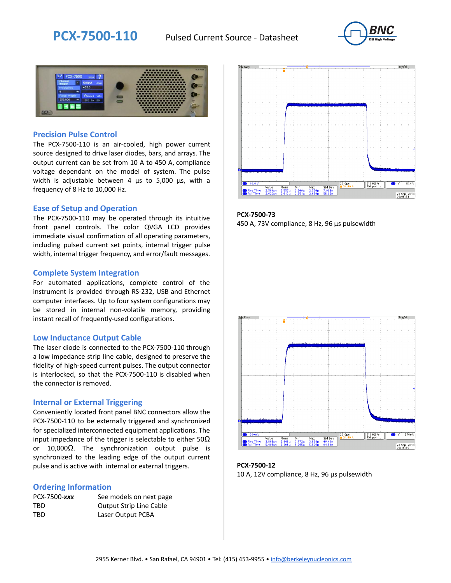



#### **Precision Pulse Control**

The PCX-7500-110 is an air-cooled, high power current source designed to drive laser diodes, bars, and arrays. The output current can be set from 10 A to 450 A, compliance voltage dependant on the model of system. The pulse width is adjustable between 4 µs to 5,000 µs, with a frequency of 8 Hz to 10,000 Hz.

#### **Ease of Setup and Operation**

The PCX-7500-110 may be operated through its intuitive front panel controls. The color QVGA LCD provides immediate visual confirmation of all operating parameters, including pulsed current set points, internal trigger pulse width, internal trigger frequency, and error/fault messages.

#### **Complete System Integration**

For automated applications, complete control of the instrument is provided through RS-232, USB and Ethernet computer interfaces. Up to four system configurations may be stored in internal non-volatile memory, providing instant recall of frequently-used configurations.

#### **Low Inductance Output Cable**

The laser diode is connected to the PCX-7500-110 through a low impedance strip line cable, designed to preserve the fidelity of high-speed current pulses. The output connector is interlocked, so that the PCX-7500-110 is disabled when the connector is removed.

#### **Internal or External Triggering**

Conveniently located front panel BNC connectors allow the PCX-7500-110 to be externally triggered and synchronized for specialized interconnected equipment applications. The input impedance of the trigger is selectable to either  $50\Omega$ or 10,000Ω. The synchronization output pulse is synchronized to the leading edge of the output current pulse and is active with internal or external triggers.

#### **Ordering Information**

| PCX-7500-xxx | See models on next page        |
|--------------|--------------------------------|
| TBD          | <b>Output Strip Line Cable</b> |
| TBD          | Laser Output PCBA              |



**PCX-7500-73** 450 A, 73V compliance, 8 Hz, 96 µs pulsewidth



**PCX-7500-12** 10 A, 12V compliance, 8 Hz, 96 μs pulsewidth